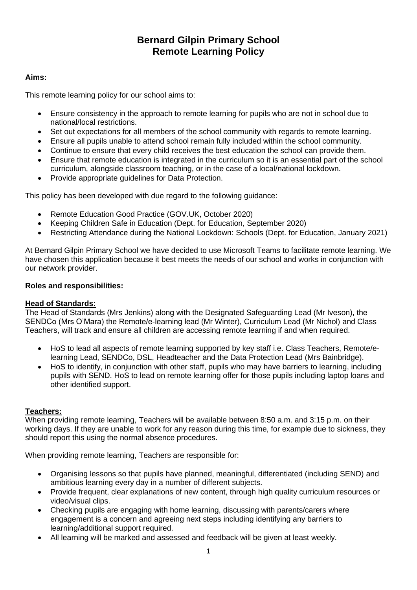# **Bernard Gilpin Primary School Remote Learning Policy**

### **Aims:**

This remote learning policy for our school aims to:

- Ensure consistency in the approach to remote learning for pupils who are not in school due to national/local restrictions.
- Set out expectations for all members of the school community with regards to remote learning.
- Ensure all pupils unable to attend school remain fully included within the school community.
- Continue to ensure that every child receives the best education the school can provide them.
- Ensure that remote education is integrated in the curriculum so it is an essential part of the school curriculum, alongside classroom teaching, or in the case of a local/national lockdown.
- Provide appropriate guidelines for Data Protection.

This policy has been developed with due regard to the following guidance:

- Remote Education Good Practice (GOV.UK, October 2020)
- Keeping Children Safe in Education (Dept. for Education, September 2020)
- Restricting Attendance during the National Lockdown: Schools (Dept. for Education, January 2021)

At Bernard Gilpin Primary School we have decided to use Microsoft Teams to facilitate remote learning. We have chosen this application because it best meets the needs of our school and works in conjunction with our network provider.

### **Roles and responsibilities:**

### **Head of Standards:**

The Head of Standards (Mrs Jenkins) along with the Designated Safeguarding Lead (Mr Iveson), the SENDCo (Mrs O'Mara) the Remote/e-learning lead (Mr Winter), Curriculum Lead (Mr Nichol) and Class Teachers, will track and ensure all children are accessing remote learning if and when required.

- HoS to lead all aspects of remote learning supported by key staff i.e. Class Teachers, Remote/elearning Lead, SENDCo, DSL, Headteacher and the Data Protection Lead (Mrs Bainbridge).
- HoS to identify, in conjunction with other staff, pupils who may have barriers to learning, including pupils with SEND. HoS to lead on remote learning offer for those pupils including laptop loans and other identified support.

### **Teachers:**

When providing remote learning, Teachers will be available between 8:50 a.m. and 3:15 p.m. on their working days. If they are unable to work for any reason during this time, for example due to sickness, they should report this using the normal absence procedures.

When providing remote learning, Teachers are responsible for:

- Organising lessons so that pupils have planned, meaningful, differentiated (including SEND) and ambitious learning every day in a number of different subjects.
- Provide frequent, clear explanations of new content, through high quality curriculum resources or video/visual clips.
- Checking pupils are engaging with home learning, discussing with parents/carers where engagement is a concern and agreeing next steps including identifying any barriers to learning/additional support required.
- All learning will be marked and assessed and feedback will be given at least weekly.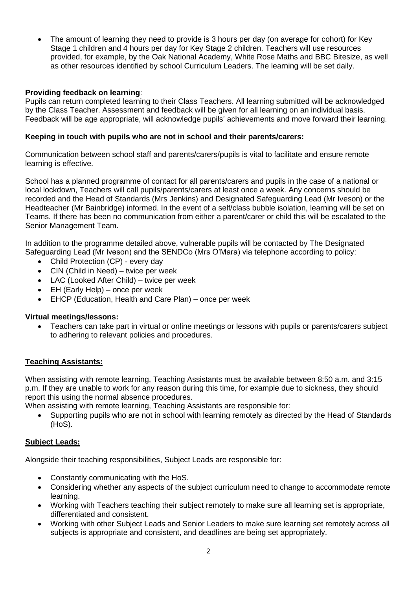• The amount of learning they need to provide is 3 hours per day (on average for cohort) for Key Stage 1 children and 4 hours per day for Key Stage 2 children. Teachers will use resources provided, for example, by the Oak National Academy, White Rose Maths and BBC Bitesize, as well as other resources identified by school Curriculum Leaders. The learning will be set daily.

### **Providing feedback on learning**:

Pupils can return completed learning to their Class Teachers. All learning submitted will be acknowledged by the Class Teacher. Assessment and feedback will be given for all learning on an individual basis. Feedback will be age appropriate, will acknowledge pupils' achievements and move forward their learning.

### **Keeping in touch with pupils who are not in school and their parents/carers:**

Communication between school staff and parents/carers/pupils is vital to facilitate and ensure remote learning is effective.

School has a planned programme of contact for all parents/carers and pupils in the case of a national or local lockdown, Teachers will call pupils/parents/carers at least once a week. Any concerns should be recorded and the Head of Standards (Mrs Jenkins) and Designated Safeguarding Lead (Mr Iveson) or the Headteacher (Mr Bainbridge) informed. In the event of a self/class bubble isolation, learning will be set on Teams. If there has been no communication from either a parent/carer or child this will be escalated to the Senior Management Team.

In addition to the programme detailed above, vulnerable pupils will be contacted by The Designated Safeguarding Lead (Mr Iveson) and the SENDCo (Mrs O'Mara) via telephone according to policy:

- Child Protection (CP) every day
- CIN (Child in Need) twice per week
- LAC (Looked After Child) twice per week
- EH (Early Help) once per week
- EHCP (Education, Health and Care Plan) once per week

### **Virtual meetings/lessons:**

• Teachers can take part in virtual or online meetings or lessons with pupils or parents/carers subject to adhering to relevant policies and procedures.

# **Teaching Assistants:**

When assisting with remote learning, Teaching Assistants must be available between 8:50 a.m. and 3:15 p.m. If they are unable to work for any reason during this time, for example due to sickness, they should report this using the normal absence procedures.

When assisting with remote learning, Teaching Assistants are responsible for:

• Supporting pupils who are not in school with learning remotely as directed by the Head of Standards (HoS).

### **Subject Leads:**

Alongside their teaching responsibilities, Subject Leads are responsible for:

- Constantly communicating with the HoS.
- Considering whether any aspects of the subject curriculum need to change to accommodate remote learning.
- Working with Teachers teaching their subject remotely to make sure all learning set is appropriate, differentiated and consistent.
- Working with other Subject Leads and Senior Leaders to make sure learning set remotely across all subjects is appropriate and consistent, and deadlines are being set appropriately.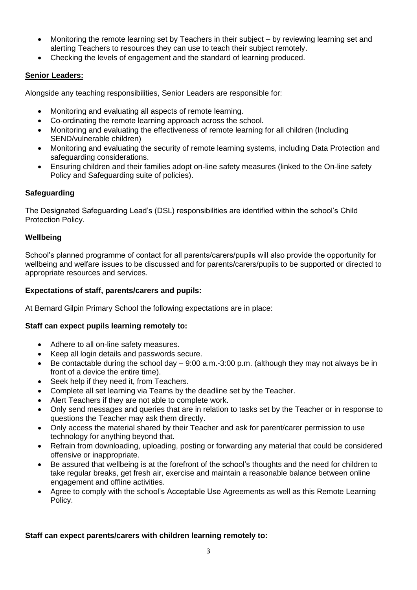- Monitoring the remote learning set by Teachers in their subject by reviewing learning set and alerting Teachers to resources they can use to teach their subject remotely.
- Checking the levels of engagement and the standard of learning produced.

# **Senior Leaders:**

Alongside any teaching responsibilities, Senior Leaders are responsible for:

- Monitoring and evaluating all aspects of remote learning.
- Co-ordinating the remote learning approach across the school.
- Monitoring and evaluating the effectiveness of remote learning for all children (Including SEND/vulnerable children)
- Monitoring and evaluating the security of remote learning systems, including Data Protection and safeguarding considerations.
- Ensuring children and their families adopt on-line safety measures (linked to the On-line safety Policy and Safeguarding suite of policies).

# **Safeguarding**

The Designated Safeguarding Lead's (DSL) responsibilities are identified within the school's Child Protection Policy.

# **Wellbeing**

School's planned programme of contact for all parents/carers/pupils will also provide the opportunity for wellbeing and welfare issues to be discussed and for parents/carers/pupils to be supported or directed to appropriate resources and services.

# **Expectations of staff, parents/carers and pupils:**

At Bernard Gilpin Primary School the following expectations are in place:

# **Staff can expect pupils learning remotely to:**

- Adhere to all on-line safety measures.
- Keep all login details and passwords secure.
- Be contactable during the school day 9:00 a.m.-3:00 p.m. (although they may not always be in front of a device the entire time).
- Seek help if they need it, from Teachers.
- Complete all set learning via Teams by the deadline set by the Teacher.
- Alert Teachers if they are not able to complete work.
- Only send messages and queries that are in relation to tasks set by the Teacher or in response to questions the Teacher may ask them directly.
- Only access the material shared by their Teacher and ask for parent/carer permission to use technology for anything beyond that.
- Refrain from downloading, uploading, posting or forwarding any material that could be considered offensive or inappropriate.
- Be assured that wellbeing is at the forefront of the school's thoughts and the need for children to take regular breaks, get fresh air, exercise and maintain a reasonable balance between online engagement and offline activities.
- Agree to comply with the school's Acceptable Use Agreements as well as this Remote Learning Policy.

# **Staff can expect parents/carers with children learning remotely to:**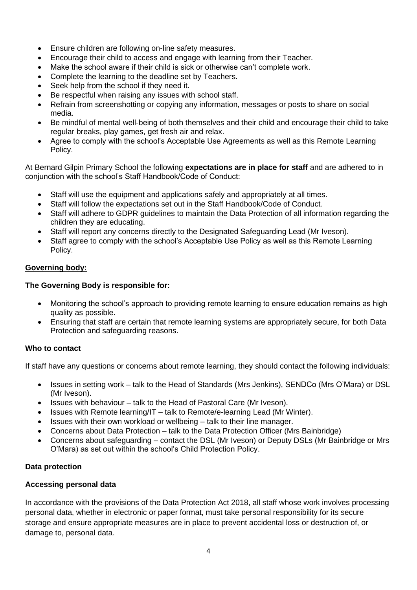- Ensure children are following on-line safety measures.
- Encourage their child to access and engage with learning from their Teacher.
- Make the school aware if their child is sick or otherwise can't complete work.
- Complete the learning to the deadline set by Teachers.
- Seek help from the school if they need it.
- Be respectful when raising any issues with school staff.
- Refrain from screenshotting or copying any information, messages or posts to share on social media.
- Be mindful of mental well-being of both themselves and their child and encourage their child to take regular breaks, play games, get fresh air and relax.
- Agree to comply with the school's Acceptable Use Agreements as well as this Remote Learning Policy.

At Bernard Gilpin Primary School the following **expectations are in place for staff** and are adhered to in conjunction with the school's Staff Handbook/Code of Conduct:

- Staff will use the equipment and applications safely and appropriately at all times.
- Staff will follow the expectations set out in the Staff Handbook/Code of Conduct.
- Staff will adhere to GDPR guidelines to maintain the Data Protection of all information regarding the children they are educating.
- Staff will report any concerns directly to the Designated Safeguarding Lead (Mr Iveson).
- Staff agree to comply with the school's Acceptable Use Policy as well as this Remote Learning Policy.

# **Governing body:**

# **The Governing Body is responsible for:**

- Monitoring the school's approach to providing remote learning to ensure education remains as high quality as possible.
- Ensuring that staff are certain that remote learning systems are appropriately secure, for both Data Protection and safeguarding reasons.

# **Who to contact**

If staff have any questions or concerns about remote learning, they should contact the following individuals:

- Issues in setting work talk to the Head of Standards (Mrs Jenkins), SENDCo (Mrs O'Mara) or DSL (Mr Iveson).
- Issues with behaviour talk to the Head of Pastoral Care (Mr Iveson).
- Issues with Remote learning/IT talk to Remote/e-learning Lead (Mr Winter).
- Issues with their own workload or wellbeing talk to their line manager.
- Concerns about Data Protection talk to the Data Protection Officer (Mrs Bainbridge)
- Concerns about safeguarding contact the DSL (Mr Iveson) or Deputy DSLs (Mr Bainbridge or Mrs O'Mara) as set out within the school's Child Protection Policy.

# **Data protection**

# **Accessing personal data**

In accordance with the provisions of the Data Protection Act 2018, all staff whose work involves processing personal data, whether in electronic or paper format, must take personal responsibility for its secure storage and ensure appropriate measures are in place to prevent accidental loss or destruction of, or damage to, personal data.